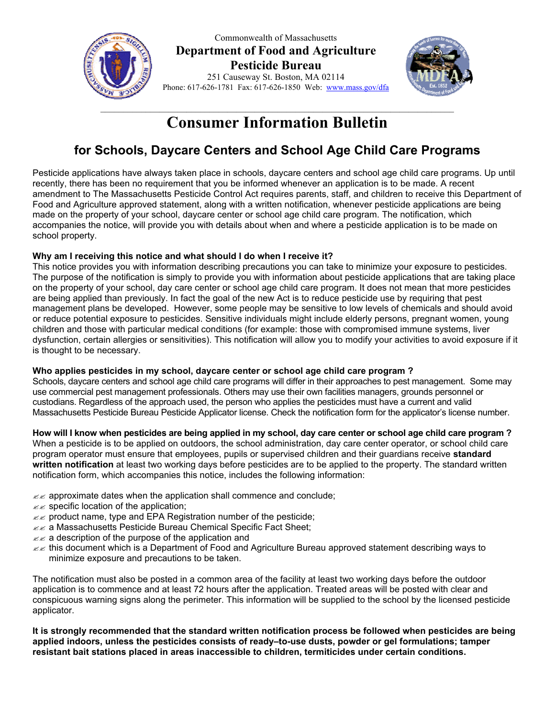

Commonwealth of Massachusetts **Department of Food and Agriculture Pesticide Bureau** 251 Causeway St. Boston, MA 02114 Phone: 617-626-1781 Fax: 617-626-1850 Web: www.mass.gov/dfa



# **Consumer Information Bulletin**

## **for Schools, Daycare Centers and School Age Child Care Programs**

Pesticide applications have always taken place in schools, daycare centers and school age child care programs. Up until recently, there has been no requirement that you be informed whenever an application is to be made. A recent amendment to The Massachusetts Pesticide Control Act requires parents, staff, and children to receive this Department of Food and Agriculture approved statement, along with a written notification, whenever pesticide applications are being made on the property of your school, daycare center or school age child care program. The notification, which accompanies the notice, will provide you with details about when and where a pesticide application is to be made on school property.

### **Why am I receiving this notice and what should I do when I receive it?**

This notice provides you with information describing precautions you can take to minimize your exposure to pesticides. The purpose of the notification is simply to provide you with information about pesticide applications that are taking place on the property of your school, day care center or school age child care program. It does not mean that more pesticides are being applied than previously. In fact the goal of the new Act is to reduce pesticide use by requiring that pest management plans be developed. However, some people may be sensitive to low levels of chemicals and should avoid or reduce potential exposure to pesticides. Sensitive individuals might include elderly persons, pregnant women, young children and those with particular medical conditions (for example: those with compromised immune systems, liver dysfunction, certain allergies or sensitivities). This notification will allow you to modify your activities to avoid exposure if it is thought to be necessary.

## **Who applies pesticides in my school, daycare center or school age child care program ?**

Schools, daycare centers and school age child care programs will differ in their approaches to pest management. Some may use commercial pest management professionals. Others may use their own facilities managers, grounds personnel or custodians. Regardless of the approach used, the person who applies the pesticides must have a current and valid Massachusetts Pesticide Bureau Pesticide Applicator license. Check the notification form for the applicator's license number.

**How will I know when pesticides are being applied in my school, day care center or school age child care program ?** When a pesticide is to be applied on outdoors, the school administration, day care center operator, or school child care program operator must ensure that employees, pupils or supervised children and their guardians receive **standard written notification** at least two working days before pesticides are to be applied to the property. The standard written notification form, which accompanies this notice, includes the following information:

- $\mathbb{Z}$  approximate dates when the application shall commence and conclude;
- $\mathbb{Z}$  specific location of the application;
- $\mathbb{Z}$  product name, type and EPA Registration number of the pesticide;
- ?? a Massachusetts Pesticide Bureau Chemical Specific Fact Sheet;
- $\mathbb{Z}$  a description of the purpose of the application and
- ?? this document which is a Department of Food and Agriculture Bureau approved statement describing ways to minimize exposure and precautions to be taken.

The notification must also be posted in a common area of the facility at least two working days before the outdoor application is to commence and at least 72 hours after the application. Treated areas will be posted with clear and conspicuous warning signs along the perimeter. This information will be supplied to the school by the licensed pesticide applicator.

**It is strongly recommended that the standard written notification process be followed when pesticides are being applied indoors, unless the pesticides consists of ready–to-use dusts, powder or gel formulations; tamper resistant bait stations placed in areas inaccessible to children, termiticides under certain conditions.**